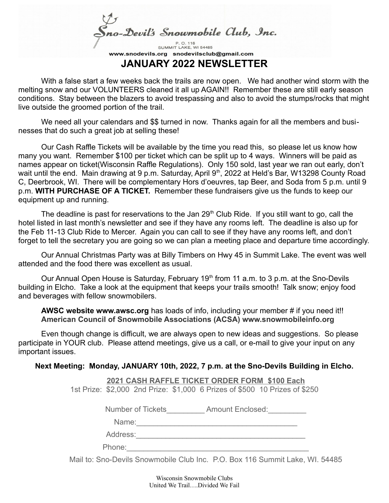Sno-Devil's Snowmobile Club, Inc.

SUMMIT LAKE, WI 54485 www.snodevils.org snodevilsclub@gmail.com **JANUARY 2022 NEWSLETTER**

With a false start a few weeks back the trails are now open. We had another wind storm with the melting snow and our VOLUNTEERS cleaned it all up AGAIN!! Remember these are still early season conditions. Stay between the blazers to avoid trespassing and also to avoid the stumps/rocks that might live outside the groomed portion of the trail.

We need all your calendars and \$\$ turned in now. Thanks again for all the members and businesses that do such a great job at selling these!

Our Cash Raffle Tickets will be available by the time you read this, so please let us know how many you want. Remember \$100 per ticket which can be split up to 4 ways. Winners will be paid as names appear on ticket(Wisconsin Raffle Regulations). Only 150 sold, last year we ran out early, don't wait until the end. Main drawing at 9 p.m. Saturday, April 9<sup>th</sup>, 2022 at Held's Bar, W13298 County Road C, Deerbrook, WI. There will be complementary Hors d'oeuvres, tap Beer, and Soda from 5 p.m. until 9 p.m. **WITH PURCHASE OF A TICKET.** Remember these fundraisers give us the funds to keep our equipment up and running.

The deadline is past for reservations to the Jan 29<sup>th</sup> Club Ride. If you still want to go, call the hotel listed in last month's newsletter and see if they have any rooms left. The deadline is also up for the Feb 11-13 Club Ride to Mercer. Again you can call to see if they have any rooms left, and don't forget to tell the secretary you are going so we can plan a meeting place and departure time accordingly.

Our Annual Christmas Party was at Billy Timbers on Hwy 45 in Summit Lake. The event was well attended and the food there was excellent as usual.

Our Annual Open House is Saturday, February 19<sup>th</sup> from 11 a.m. to 3 p.m. at the Sno-Devils building in Elcho. Take a look at the equipment that keeps your trails smooth! Talk snow; enjoy food and beverages with fellow snowmobilers.

**AWSC website www.awsc.org** has loads of info, including your member # if you need it!! **American Council of Snowmobile Associations (ACSA) www.snowmobileinfo.org**

Even though change is difficult, we are always open to new ideas and suggestions. So please participate in YOUR club. Please attend meetings, give us a call, or e-mail to give your input on any important issues.

## **Next Meeting: Monday, JANUARY 10th, 2022, 7 p.m. at the Sno-Devils Building in Elcho.**

 **2021 CASH RAFFLE TICKET ORDER FORM \$100 Each** 1st Prize: \$2,000 2nd Prize: \$1,000 6 Prizes of \$500 10 Prizes of \$250

Number of Tickets **Amount Enclosed:** 

 $Name:$ 

Address:\_\_\_\_\_\_\_\_\_\_\_\_\_\_\_\_\_\_\_\_\_\_\_\_\_\_\_\_\_\_\_\_\_\_\_\_\_\_\_\_

Phone:

Mail to: Sno-Devils Snowmobile Club Inc. P.O. Box 116 Summit Lake, WI. 54485